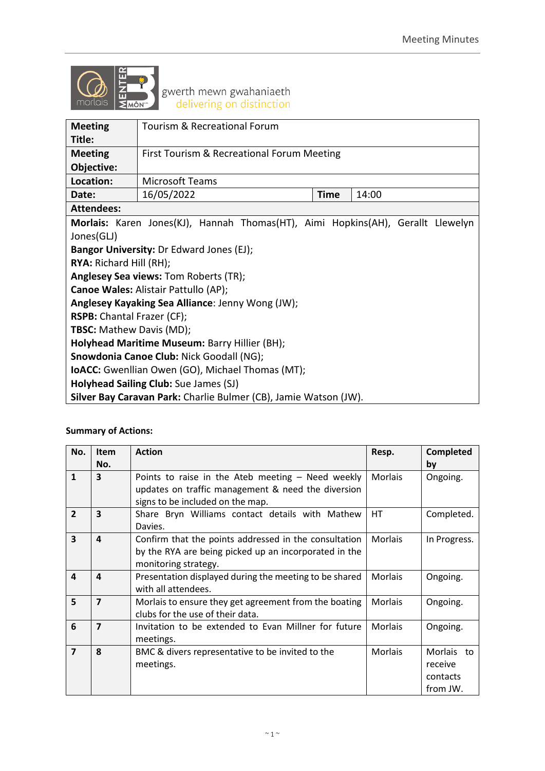

gwerth mewn gwahaniaeth<br>delivering on distinction

| <b>Meeting</b>                                                                  | <b>Tourism &amp; Recreational Forum</b>    |             |       |  |  |  |
|---------------------------------------------------------------------------------|--------------------------------------------|-------------|-------|--|--|--|
| Title:                                                                          |                                            |             |       |  |  |  |
| <b>Meeting</b>                                                                  | First Tourism & Recreational Forum Meeting |             |       |  |  |  |
| Objective:                                                                      |                                            |             |       |  |  |  |
| Location:                                                                       | Microsoft Teams                            |             |       |  |  |  |
| Date:                                                                           | 16/05/2022                                 | <b>Time</b> | 14:00 |  |  |  |
| <b>Attendees:</b>                                                               |                                            |             |       |  |  |  |
| Morlais: Karen Jones(KJ), Hannah Thomas(HT), Aimi Hopkins(AH), Gerallt Llewelyn |                                            |             |       |  |  |  |
| Jones(GLJ)                                                                      |                                            |             |       |  |  |  |
| <b>Bangor University:</b> Dr Edward Jones (EJ);                                 |                                            |             |       |  |  |  |
| RYA: Richard Hill (RH);                                                         |                                            |             |       |  |  |  |
| <b>Anglesey Sea views: Tom Roberts (TR);</b>                                    |                                            |             |       |  |  |  |
| Canoe Wales: Alistair Pattullo (AP);                                            |                                            |             |       |  |  |  |
| Anglesey Kayaking Sea Alliance: Jenny Wong (JW);                                |                                            |             |       |  |  |  |
| <b>RSPB:</b> Chantal Frazer (CF);                                               |                                            |             |       |  |  |  |
| <b>TBSC:</b> Mathew Davis (MD);                                                 |                                            |             |       |  |  |  |
| Holyhead Maritime Museum: Barry Hillier (BH);                                   |                                            |             |       |  |  |  |
| Snowdonia Canoe Club: Nick Goodall (NG);                                        |                                            |             |       |  |  |  |
| <b>IoACC:</b> Gwenllian Owen (GO), Michael Thomas (MT);                         |                                            |             |       |  |  |  |
| Holyhead Sailing Club: Sue James (SJ)                                           |                                            |             |       |  |  |  |
| Silver Bay Caravan Park: Charlie Bulmer (CB), Jamie Watson (JW).                |                                            |             |       |  |  |  |

# **Summary of Actions:**

| No.                     | <b>Item</b><br>No.      | <b>Action</b>                                                                                                                               | Resp.          | <b>Completed</b><br>by                        |
|-------------------------|-------------------------|---------------------------------------------------------------------------------------------------------------------------------------------|----------------|-----------------------------------------------|
| $\mathbf{1}$            | 3                       | Points to raise in the Ateb meeting - Need weekly<br>updates on traffic management & need the diversion<br>signs to be included on the map. | Morlais        | Ongoing.                                      |
| $\overline{2}$          | 3                       | Share Bryn Williams contact details with Mathew<br>Davies.                                                                                  | HT             | Completed.                                    |
| $\overline{\mathbf{3}}$ | 4                       | Confirm that the points addressed in the consultation<br>by the RYA are being picked up an incorporated in the<br>monitoring strategy.      | <b>Morlais</b> | In Progress.                                  |
| 4                       | 4                       | Presentation displayed during the meeting to be shared<br>with all attendees.                                                               | Morlais        | Ongoing.                                      |
| 5                       | $\overline{\mathbf{z}}$ | Morlais to ensure they get agreement from the boating<br>clubs for the use of their data.                                                   | Morlais        | Ongoing.                                      |
| 6                       | $\overline{7}$          | Invitation to be extended to Evan Millner for future<br>meetings.                                                                           | <b>Morlais</b> | Ongoing.                                      |
| $\overline{7}$          | 8                       | BMC & divers representative to be invited to the<br>meetings.                                                                               | <b>Morlais</b> | Morlais to<br>receive<br>contacts<br>from JW. |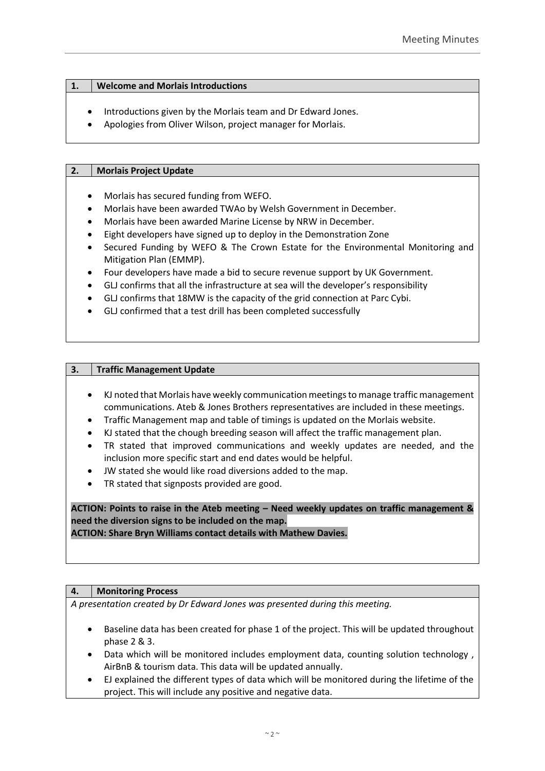### **1. Welcome and Morlais Introductions**

- Introductions given by the Morlais team and Dr Edward Jones.
- Apologies from Oliver Wilson, project manager for Morlais.

#### **2. Morlais Project Update**

- Morlais has secured funding from WEFO.
- Morlais have been awarded TWAo by Welsh Government in December.
- Morlais have been awarded Marine License by NRW in December.
- Eight developers have signed up to deploy in the Demonstration Zone
- Secured Funding by WEFO & The Crown Estate for the Environmental Monitoring and Mitigation Plan (EMMP).
- Four developers have made a bid to secure revenue support by UK Government.
- GLJ confirms that all the infrastructure at sea will the developer's responsibility
- GLJ confirms that 18MW is the capacity of the grid connection at Parc Cybi.
- GLJ confirmed that a test drill has been completed successfully

### **3. Traffic Management Update**

- KJ noted that Morlais have weekly communication meetings to manage traffic management communications. Ateb & Jones Brothers representatives are included in these meetings.
- Traffic Management map and table of timings is updated on the Morlais website.
- KJ stated that the chough breeding season will affect the traffic management plan.
- TR stated that improved communications and weekly updates are needed, and the inclusion more specific start and end dates would be helpful.
- JW stated she would like road diversions added to the map.
- TR stated that signposts provided are good.

**ACTION: Points to raise in the Ateb meeting – Need weekly updates on traffic management & need the diversion signs to be included on the map. ACTION: Share Bryn Williams contact details with Mathew Davies.**

### **4. Monitoring Process**

*A presentation created by Dr Edward Jones was presented during this meeting.* 

- Baseline data has been created for phase 1 of the project. This will be updated throughout phase 2 & 3.
- Data which will be monitored includes employment data, counting solution technology, AirBnB & tourism data. This data will be updated annually.
- EJ explained the different types of data which will be monitored during the lifetime of the project. This will include any positive and negative data.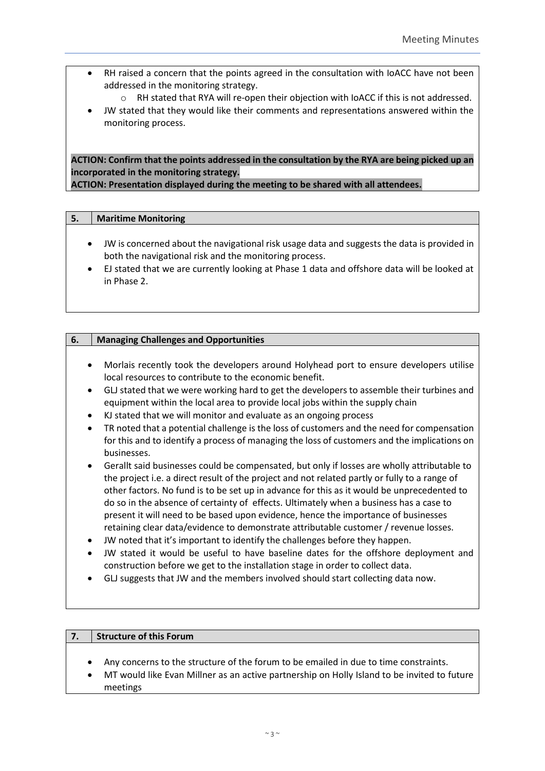- RH raised a concern that the points agreed in the consultation with IoACC have not been addressed in the monitoring strategy.
	- o RH stated that RYA will re-open their objection with IoACC if this is not addressed.
- JW stated that they would like their comments and representations answered within the monitoring process.

**ACTION: Confirm that the points addressed in the consultation by the RYA are being picked up an incorporated in the monitoring strategy. ACTION: Presentation displayed during the meeting to be shared with all attendees.**

- JW is concerned about the navigational risk usage data and suggests the data is provided in both the navigational risk and the monitoring process.
- EJ stated that we are currently looking at Phase 1 data and offshore data will be looked at in Phase 2.

### **6. Managing Challenges and Opportunities**

**5. Maritime Monitoring**

- Morlais recently took the developers around Holyhead port to ensure developers utilise local resources to contribute to the economic benefit.
- GLJ stated that we were working hard to get the developers to assemble their turbines and equipment within the local area to provide local jobs within the supply chain
- KJ stated that we will monitor and evaluate as an ongoing process
- TR noted that a potential challenge is the loss of customers and the need for compensation for this and to identify a process of managing the loss of customers and the implications on businesses.
- Gerallt said businesses could be compensated, but only if losses are wholly attributable to the project i.e. a direct result of the project and not related partly or fully to a range of other factors. No fund is to be set up in advance for this as it would be unprecedented to do so in the absence of certainty of effects. Ultimately when a business has a case to present it will need to be based upon evidence, hence the importance of businesses retaining clear data/evidence to demonstrate attributable customer / revenue losses.
- JW noted that it's important to identify the challenges before they happen.
- JW stated it would be useful to have baseline dates for the offshore deployment and construction before we get to the installation stage in order to collect data.
- GLJ suggests that JW and the members involved should start collecting data now.

### **7. Structure of this Forum**

- Any concerns to the structure of the forum to be emailed in due to time constraints.
- MT would like Evan Millner as an active partnership on Holly Island to be invited to future meetings